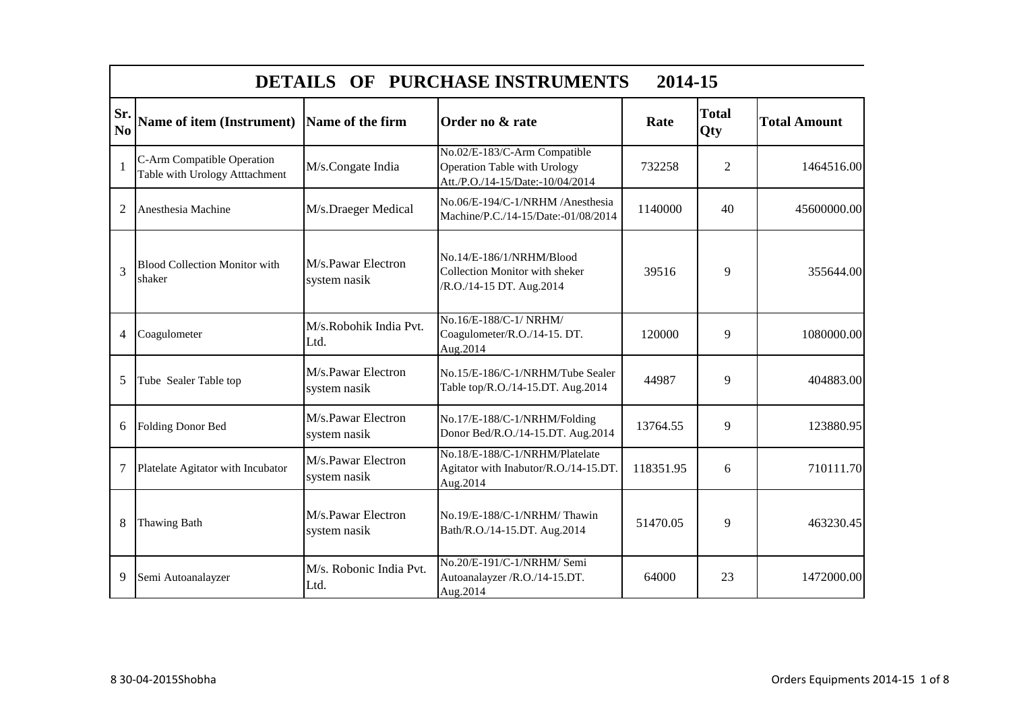|                       | DETAILS OF PURCHASE INSTRUMENTS<br>2014-15                   |                                    |                                                                                                         |           |                     |                     |  |
|-----------------------|--------------------------------------------------------------|------------------------------------|---------------------------------------------------------------------------------------------------------|-----------|---------------------|---------------------|--|
| Sr.<br>N <sub>o</sub> | <b>Name of item (Instrument)</b>                             | Name of the firm                   | Order no & rate                                                                                         | Rate      | <b>Total</b><br>Qty | <b>Total Amount</b> |  |
| $\mathbf{1}$          | C-Arm Compatible Operation<br>Table with Urology Atttachment | M/s.Congate India                  | No.02/E-183/C-Arm Compatible<br><b>Operation Table with Urology</b><br>Att./P.O./14-15/Date:-10/04/2014 | 732258    | 2                   | 1464516.00          |  |
| $\overline{2}$        | Anesthesia Machine                                           | M/s.Draeger Medical                | No.06/E-194/C-1/NRHM /Anesthesia<br>Machine/P.C./14-15/Date:-01/08/2014                                 | 1140000   | 40                  | 45600000.00         |  |
| 3                     | <b>Blood Collection Monitor with</b><br>shaker               | M/s.Pawar Electron<br>system nasik | No.14/E-186/1/NRHM/Blood<br><b>Collection Monitor with sheker</b><br>/R.O./14-15 DT. Aug.2014           | 39516     | 9                   | 355644.00           |  |
| $\overline{4}$        | Coagulometer                                                 | M/s.Robohik India Pvt.<br>Ltd.     | No.16/E-188/C-1/ NRHM/<br>Coagulometer/R.O./14-15. DT.<br>Aug.2014                                      | 120000    | 9                   | 1080000.00          |  |
| 5                     | Tube Sealer Table top                                        | M/s.Pawar Electron<br>system nasik | No.15/E-186/C-1/NRHM/Tube Sealer<br>Table top/R.O./14-15.DT. Aug.2014                                   | 44987     | 9                   | 404883.00           |  |
| 6                     | <b>Folding Donor Bed</b>                                     | M/s.Pawar Electron<br>system nasik | No.17/E-188/C-1/NRHM/Folding<br>Donor Bed/R.O./14-15.DT. Aug.2014                                       | 13764.55  | 9                   | 123880.95           |  |
| $\overline{7}$        | Platelate Agitator with Incubator                            | M/s.Pawar Electron<br>system nasik | No.18/E-188/C-1/NRHM/Platelate<br>Agitator with Inabutor/R.O./14-15.DT.<br>Aug.2014                     | 118351.95 | 6                   | 710111.70           |  |
| 8                     | <b>Thawing Bath</b>                                          | M/s.Pawar Electron<br>system nasik | No.19/E-188/C-1/NRHM/Thawin<br>Bath/R.O./14-15.DT. Aug.2014                                             | 51470.05  | 9                   | 463230.45           |  |
| 9                     | Semi Autoanalayzer                                           | M/s. Robonic India Pvt.<br>Ltd.    | No.20/E-191/C-1/NRHM/ Semi<br>Autoanalayzer /R.O./14-15.DT.<br>Aug.2014                                 | 64000     | 23                  | 1472000.00          |  |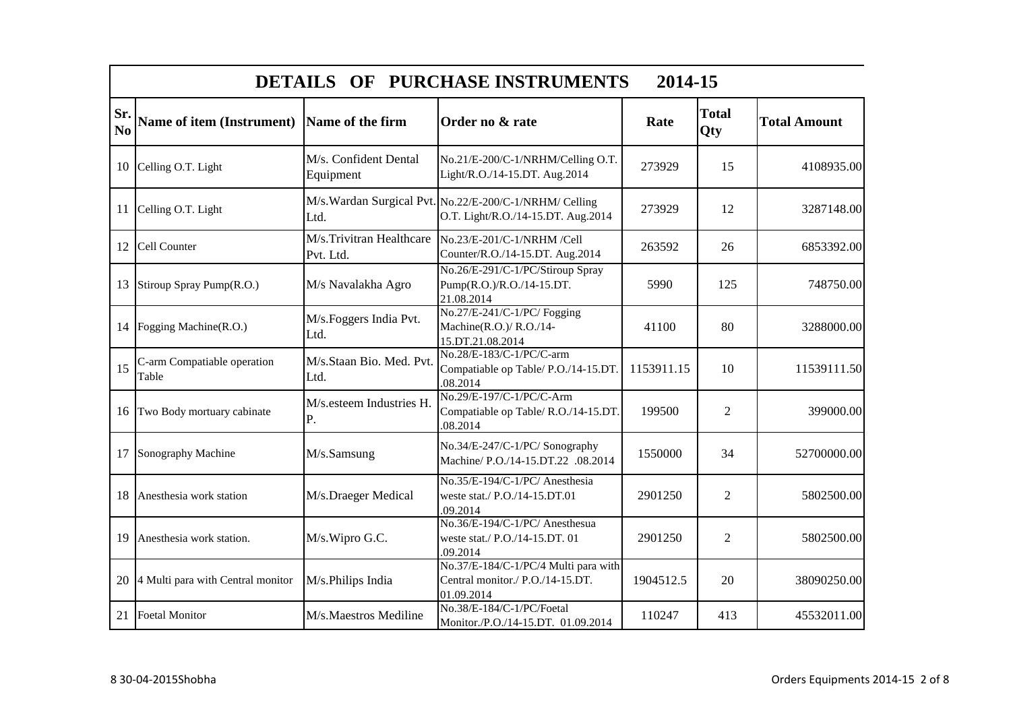|                       | DETAILS OF PURCHASE INSTRUMENTS<br>2014-15 |                                       |                                                                                               |            |                     |                     |  |
|-----------------------|--------------------------------------------|---------------------------------------|-----------------------------------------------------------------------------------------------|------------|---------------------|---------------------|--|
| Sr.<br>N <sub>0</sub> | <b>Name of item (Instrument)</b>           | Name of the firm                      | Order no & rate                                                                               | Rate       | <b>Total</b><br>Qty | <b>Total Amount</b> |  |
| 10                    | Celling O.T. Light                         | M/s. Confident Dental<br>Equipment    | No.21/E-200/C-1/NRHM/Celling O.T.<br>Light/R.O./14-15.DT. Aug.2014                            | 273929     | 15                  | 4108935.00          |  |
| 11                    | Celling O.T. Light                         | Ltd.                                  | M/s. Wardan Surgical Pvt. No.22/E-200/C-1/NRHM/ Celling<br>O.T. Light/R.O./14-15.DT. Aug.2014 | 273929     | 12                  | 3287148.00          |  |
| 12                    | Cell Counter                               | M/s.Trivitran Healthcare<br>Pvt. Ltd. | No.23/E-201/C-1/NRHM /Cell<br>Counter/R.O./14-15.DT. Aug.2014                                 | 263592     | 26                  | 6853392.00          |  |
| 13                    | Stiroup Spray Pump(R.O.)                   | M/s Navalakha Agro                    | No.26/E-291/C-1/PC/Stiroup Spray<br>Pump(R.O.)/R.O./14-15.DT.<br>21.08.2014                   | 5990       | 125                 | 748750.00           |  |
| 14                    | Fogging Machine(R.O.)                      | M/s. Foggers India Pvt.<br>Ltd.       | No.27/E-241/C-1/PC/ Fogging<br>Machine(R.O.)/R.O./14-<br>15.DT.21.08.2014                     | 41100      | 80                  | 3288000.00          |  |
| 15                    | C-arm Compatiable operation<br>Table       | M/s.Staan Bio. Med. Pvt.<br>Ltd.      | No.28/E-183/C-1/PC/C-arm<br>Compatiable op Table/ P.O./14-15.DT.<br>.08.2014                  | 1153911.15 | 10                  | 11539111.50         |  |
| 16                    | Two Body mortuary cabinate                 | M/s.esteem Industries H.<br>P.        | No.29/E-197/C-1/PC/C-Arm<br>Compatiable op Table/ R.O./14-15.DT.<br>.08.2014                  | 199500     | $\overline{2}$      | 399000.00           |  |
| 17                    | Sonography Machine                         | M/s.Samsung                           | No.34/E-247/C-1/PC/ Sonography<br>Machine/ P.O./14-15.DT.22 .08.2014                          | 1550000    | 34                  | 52700000.00         |  |
| 18                    | Anesthesia work station                    | M/s.Draeger Medical                   | No.35/E-194/C-1/PC/ Anesthesia<br>weste stat./ P.O./14-15.DT.01<br>.09.2014                   | 2901250    | $\overline{2}$      | 5802500.00          |  |
| 19                    | Anesthesia work station.                   | M/s.Wipro G.C.                        | No.36/E-194/C-1/PC/ Anesthesua<br>weste stat./ P.O./14-15.DT. 01<br>.09.2014                  | 2901250    | $\overline{2}$      | 5802500.00          |  |
| 20                    | 4 Multi para with Central monitor          | M/s.Philips India                     | No.37/E-184/C-1/PC/4 Multi para with<br>Central monitor./ P.O./14-15.DT.<br>01.09.2014        | 1904512.5  | 20                  | 38090250.00         |  |
| 21                    | <b>Foetal Monitor</b>                      | M/s.Maestros Mediline                 | No.38/E-184/C-1/PC/Foetal<br>Monitor./P.O./14-15.DT. 01.09.2014                               | 110247     | 413                 | 45532011.00         |  |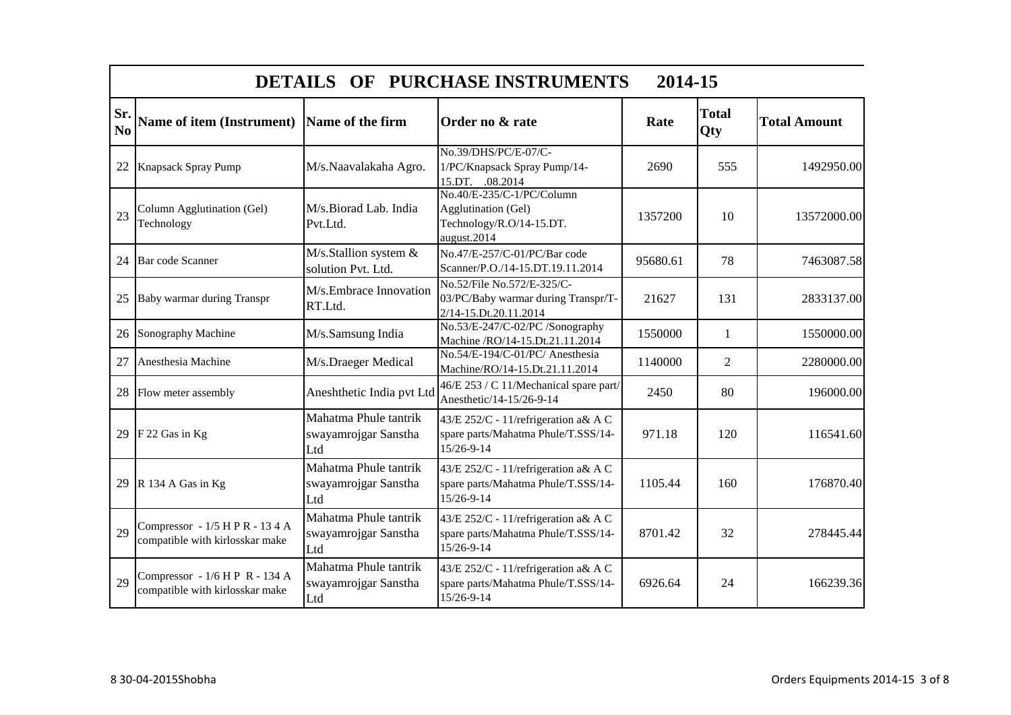|                       | DETAILS OF PURCHASE INSTRUMENTS<br>2014-15                         |                                                      |                                                                                             |          |                     |                     |  |
|-----------------------|--------------------------------------------------------------------|------------------------------------------------------|---------------------------------------------------------------------------------------------|----------|---------------------|---------------------|--|
| Sr.<br>N <sub>0</sub> | <b>Name of item (Instrument)</b>                                   | Name of the firm                                     | Order no & rate                                                                             | Rate     | <b>Total</b><br>Qty | <b>Total Amount</b> |  |
| 22                    | <b>Knapsack Spray Pump</b>                                         | M/s.Naavalakaha Agro.                                | No.39/DHS/PC/E-07/C-<br>1/PC/Knapsack Spray Pump/14-<br>15.DT. .08.2014                     | 2690     | 555                 | 1492950.00          |  |
| 23                    | Column Agglutination (Gel)<br>Technology                           | M/s.Biorad Lab. India<br>Pvt.Ltd.                    | No.40/E-235/C-1/PC/Column<br>Agglutination (Gel)<br>Technology/R.O/14-15.DT.<br>august.2014 | 1357200  | 10                  | 13572000.00         |  |
| 24                    | <b>Bar</b> code Scanner                                            | M/s.Stallion system &<br>solution Pvt. Ltd.          | No.47/E-257/C-01/PC/Bar code<br>Scanner/P.O./14-15.DT.19.11.2014                            | 95680.61 | 78                  | 7463087.58          |  |
| 25                    | Baby warmar during Transpr                                         | M/s.Embrace Innovation<br>RT.Ltd.                    | No.52/File No.572/E-325/C-<br>03/PC/Baby warmar during Transpr/T-<br>2/14-15.Dt.20.11.2014  | 21627    | 131                 | 2833137.00          |  |
| 26                    | Sonography Machine                                                 | M/s.Samsung India                                    | No.53/E-247/C-02/PC /Sonography<br>Machine /RO/14-15.Dt.21.11.2014                          | 1550000  | $\mathbf{1}$        | 1550000.00          |  |
| 27                    | Anesthesia Machine                                                 | M/s.Draeger Medical                                  | No.54/E-194/C-01/PC/ Anesthesia<br>Machine/RO/14-15.Dt.21.11.2014                           | 1140000  | $\overline{2}$      | 2280000.00          |  |
| 28                    | Flow meter assembly                                                | Aneshthetic India pvt Ltd                            | 46/E 253 / C 11/Mechanical spare part/<br>Anesthetic/14-15/26-9-14                          | 2450     | 80                  | 196000.00           |  |
| 29                    | F 22 Gas in Kg                                                     | Mahatma Phule tantrik<br>swayamrojgar Sanstha<br>Ltd | 43/E 252/C - 11/refrigeration a& A C<br>spare parts/Mahatma Phule/T.SSS/14-<br>15/26-9-14   | 971.18   | 120                 | 116541.60           |  |
| 29                    | R 134 A Gas in Kg                                                  | Mahatma Phule tantrik<br>swayamrojgar Sanstha<br>Ltd | 43/E 252/C - 11/refrigeration a& A C<br>spare parts/Mahatma Phule/T.SSS/14-<br>15/26-9-14   | 1105.44  | 160                 | 176870.40           |  |
| 29                    | Compressor - 1/5 H P R - 13 4 A<br>compatible with kirlosskar make | Mahatma Phule tantrik<br>swayamrojgar Sanstha<br>Ltd | 43/E 252/C - 11/refrigeration a& A C<br>spare parts/Mahatma Phule/T.SSS/14-<br>15/26-9-14   | 8701.42  | 32                  | 278445.44           |  |
| 29                    | Compressor - 1/6 H P R - 134 A<br>compatible with kirlosskar make  | Mahatma Phule tantrik<br>swayamrojgar Sanstha<br>Ltd | 43/E 252/C - 11/refrigeration a& A C<br>spare parts/Mahatma Phule/T.SSS/14-<br>15/26-9-14   | 6926.64  | 24                  | 166239.36           |  |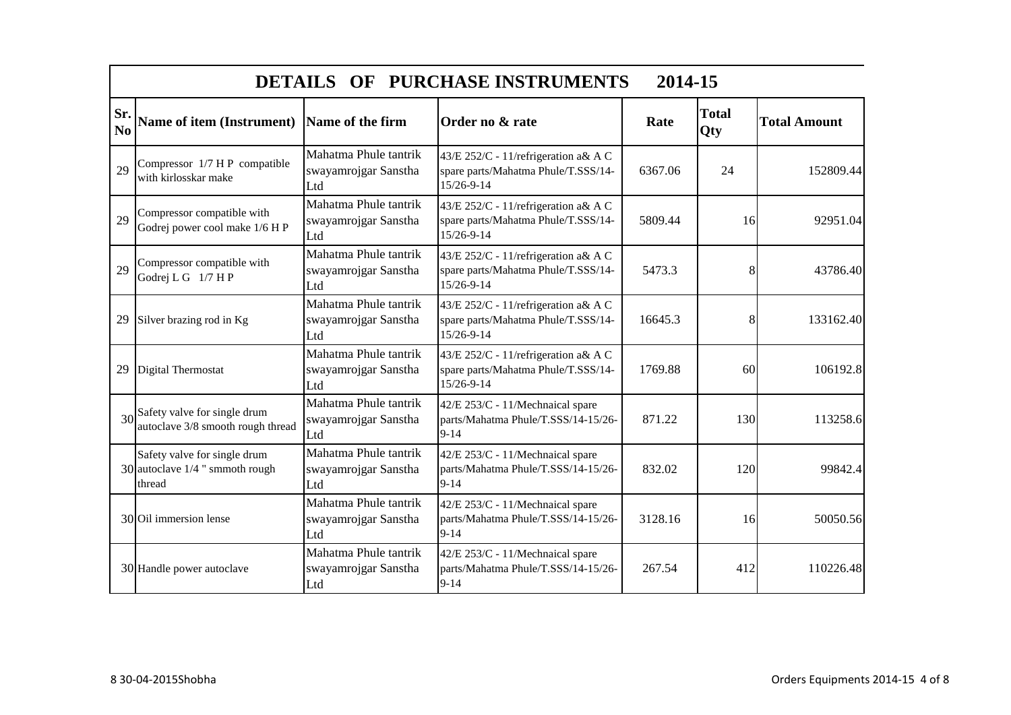|                       | DETAILS OF PURCHASE INSTRUMENTS<br>2014-15                                      |                                                      |                                                                                           |         |                     |                     |  |
|-----------------------|---------------------------------------------------------------------------------|------------------------------------------------------|-------------------------------------------------------------------------------------------|---------|---------------------|---------------------|--|
| Sr.<br>N <sub>0</sub> | Name of item (Instrument)                                                       | Name of the firm                                     | Order no & rate                                                                           | Rate    | <b>Total</b><br>Qty | <b>Total Amount</b> |  |
| 29                    | Compressor 1/7 H P compatible<br>with kirlosskar make                           | Mahatma Phule tantrik<br>swayamrojgar Sanstha<br>Ltd | 43/E 252/C - 11/refrigeration a& A C<br>spare parts/Mahatma Phule/T.SSS/14-<br>15/26-9-14 | 6367.06 | 24                  | 152809.44           |  |
| 29                    | Compressor compatible with<br>Godrej power cool make 1/6 H P                    | Mahatma Phule tantrik<br>swayamrojgar Sanstha<br>Ltd | 43/E 252/C - 11/refrigeration a& A C<br>spare parts/Mahatma Phule/T.SSS/14-<br>15/26-9-14 | 5809.44 | 16                  | 92951.04            |  |
| 29                    | Compressor compatible with<br>Godrej L G 1/7 H P                                | Mahatma Phule tantrik<br>swayamrojgar Sanstha<br>Ltd | 43/E 252/C - 11/refrigeration a& A C<br>spare parts/Mahatma Phule/T.SSS/14-<br>15/26-9-14 | 5473.3  | 8                   | 43786.40            |  |
| 29                    | Silver brazing rod in Kg                                                        | Mahatma Phule tantrik<br>swayamrojgar Sanstha<br>Ltd | 43/E 252/C - 11/refrigeration a& A C<br>spare parts/Mahatma Phule/T.SSS/14-<br>15/26-9-14 | 16645.3 | 8                   | 133162.40           |  |
| 29                    | Digital Thermostat                                                              | Mahatma Phule tantrik<br>swayamrojgar Sanstha<br>Ltd | 43/E 252/C - 11/refrigeration a& A C<br>spare parts/Mahatma Phule/T.SSS/14-<br>15/26-9-14 | 1769.88 | 60                  | 106192.8            |  |
|                       | 30 <sup>Safety</sup> valve for single drum<br>autoclave 3/8 smooth rough thread | Mahatma Phule tantrik<br>swayamrojgar Sanstha<br>Ltd | 42/E 253/C - 11/Mechnaical spare<br>parts/Mahatma Phule/T.SSS/14-15/26-<br>$9 - 14$       | 871.22  | 130                 | 113258.6            |  |
|                       | Safety valve for single drum<br>30 autoclave $1/4$ " smmoth rough<br>thread     | Mahatma Phule tantrik<br>swayamrojgar Sanstha<br>Ltd | 42/E 253/C - 11/Mechnaical spare<br>parts/Mahatma Phule/T.SSS/14-15/26-<br>$9-14$         | 832.02  | 120                 | 99842.4             |  |
|                       | 30 Oil immersion lense                                                          | Mahatma Phule tantrik<br>swayamrojgar Sanstha<br>Ltd | 42/E 253/C - 11/Mechnaical spare<br>parts/Mahatma Phule/T.SSS/14-15/26-<br>$9-14$         | 3128.16 | 16                  | 50050.56            |  |
|                       | 30 Handle power autoclave                                                       | Mahatma Phule tantrik<br>swayamrojgar Sanstha<br>Ltd | 42/E 253/C - 11/Mechnaical spare<br>parts/Mahatma Phule/T.SSS/14-15/26-<br>$9 - 14$       | 267.54  | 412                 | 110226.48           |  |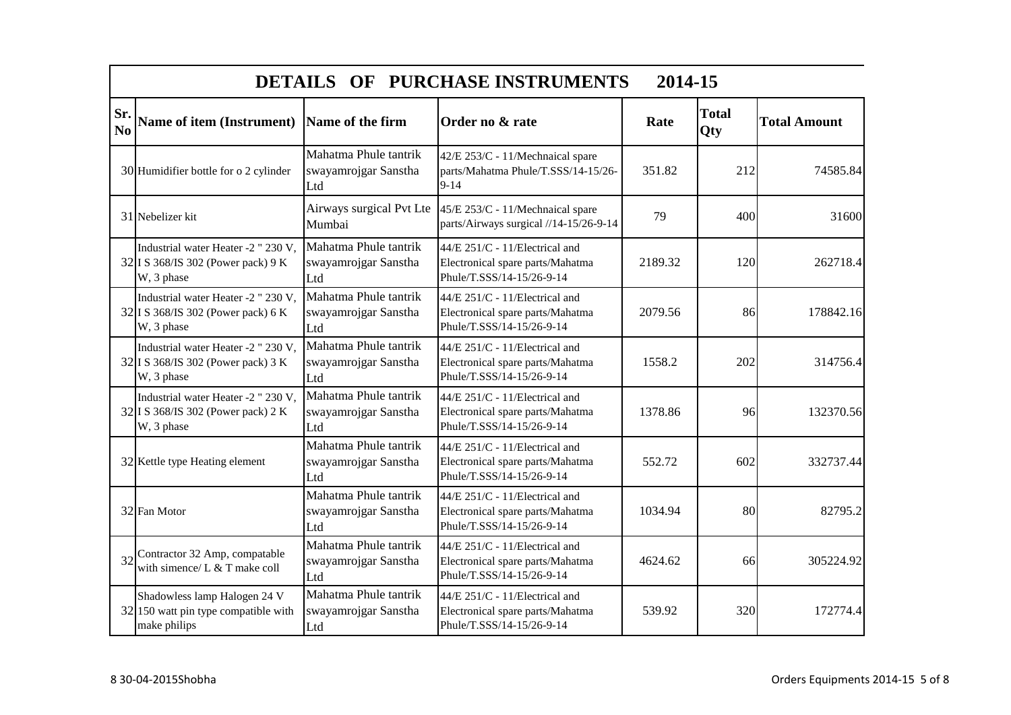|                       | DETAILS OF PURCHASE INSTRUMENTS<br>2014-15                                              |                                                      |                                                                                                 |         |                     |                     |  |
|-----------------------|-----------------------------------------------------------------------------------------|------------------------------------------------------|-------------------------------------------------------------------------------------------------|---------|---------------------|---------------------|--|
| Sr.<br>N <sub>0</sub> | Name of item (Instrument) Name of the firm                                              |                                                      | Order no & rate                                                                                 | Rate    | <b>Total</b><br>Qty | <b>Total Amount</b> |  |
|                       | 30 Humidifier bottle for o 2 cylinder                                                   | Mahatma Phule tantrik<br>swayamrojgar Sanstha<br>Ltd | 42/E 253/C - 11/Mechnaical spare<br>parts/Mahatma Phule/T.SSS/14-15/26-<br>$9 - 14$             | 351.82  | 212                 | 74585.84            |  |
|                       | 31 Nebelizer kit                                                                        | Airways surgical Pvt Lte<br>Mumbai                   | 45/E 253/C - 11/Mechnaical spare<br>parts/Airways surgical //14-15/26-9-14                      | 79      | 400                 | 31600               |  |
|                       | Industrial water Heater -2 " 230 V,<br>32 I S 368/IS 302 (Power pack) 9 K<br>W, 3 phase | Mahatma Phule tantrik<br>swayamrojgar Sanstha<br>Ltd | 44/E 251/C - 11/Electrical and<br>Electronical spare parts/Mahatma<br>Phule/T.SSS/14-15/26-9-14 | 2189.32 | 120                 | 262718.4            |  |
|                       | Industrial water Heater -2 " 230 V,<br>32 I S 368/IS 302 (Power pack) 6 K<br>W, 3 phase | Mahatma Phule tantrik<br>swayamrojgar Sanstha<br>Ltd | 44/E 251/C - 11/Electrical and<br>Electronical spare parts/Mahatma<br>Phule/T.SSS/14-15/26-9-14 | 2079.56 | 86                  | 178842.16           |  |
|                       | Industrial water Heater -2 " 230 V,<br>32 I S 368/IS 302 (Power pack) 3 K<br>W, 3 phase | Mahatma Phule tantrik<br>swayamrojgar Sanstha<br>Ltd | 44/E 251/C - 11/Electrical and<br>Electronical spare parts/Mahatma<br>Phule/T.SSS/14-15/26-9-14 | 1558.2  | 202                 | 314756.4            |  |
|                       | Industrial water Heater -2 " 230 V,<br>32 I S 368/IS 302 (Power pack) 2 K<br>W, 3 phase | Mahatma Phule tantrik<br>swayamrojgar Sanstha<br>Ltd | 44/E 251/C - 11/Electrical and<br>Electronical spare parts/Mahatma<br>Phule/T.SSS/14-15/26-9-14 | 1378.86 | 96                  | 132370.56           |  |
|                       | 32 Kettle type Heating element                                                          | Mahatma Phule tantrik<br>swayamrojgar Sanstha<br>Ltd | 44/E 251/C - 11/Electrical and<br>Electronical spare parts/Mahatma<br>Phule/T.SSS/14-15/26-9-14 | 552.72  | 602                 | 332737.44           |  |
|                       | 32 Fan Motor                                                                            | Mahatma Phule tantrik<br>swayamrojgar Sanstha<br>Ltd | 44/E 251/C - 11/Electrical and<br>Electronical spare parts/Mahatma<br>Phule/T.SSS/14-15/26-9-14 | 1034.94 | 80                  | 82795.2             |  |
| 32                    | Contractor 32 Amp, compatable<br>with simence/ $L & T$ make coll                        | Mahatma Phule tantrik<br>swayamrojgar Sanstha<br>Ltd | 44/E 251/C - 11/Electrical and<br>Electronical spare parts/Mahatma<br>Phule/T.SSS/14-15/26-9-14 | 4624.62 | 66                  | 305224.92           |  |
|                       | Shadowless lamp Halogen 24 V<br>32 150 watt pin type compatible with<br>make philips    | Mahatma Phule tantrik<br>swayamrojgar Sanstha<br>Ltd | 44/E 251/C - 11/Electrical and<br>Electronical spare parts/Mahatma<br>Phule/T.SSS/14-15/26-9-14 | 539.92  | 320                 | 172774.4            |  |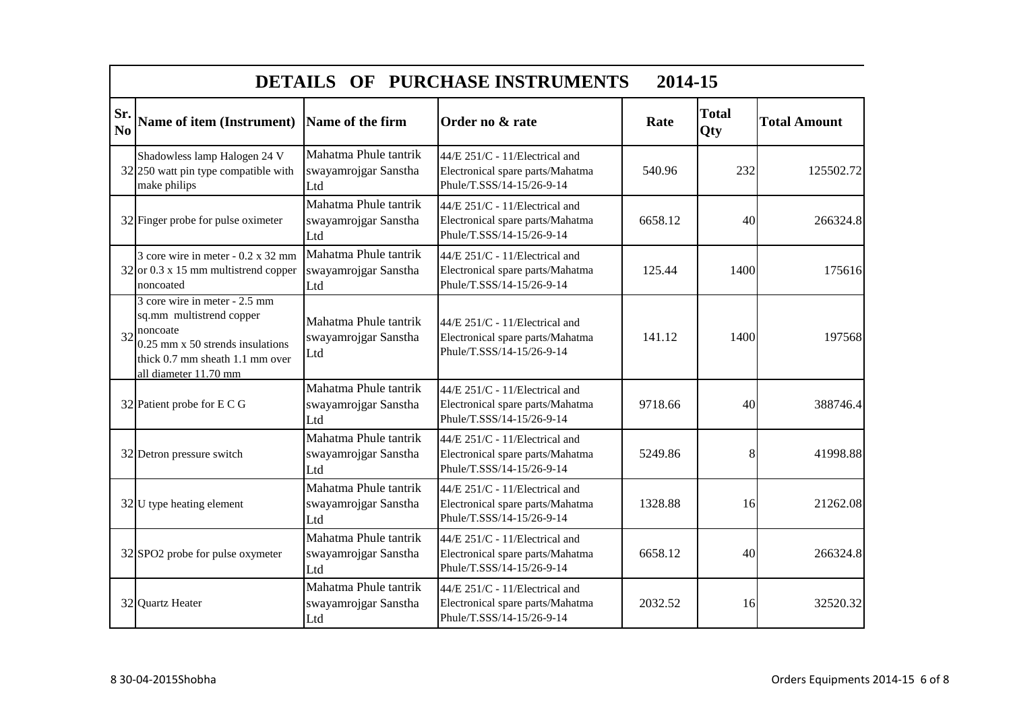|           | DETAILS OF PURCHASE INSTRUMENTS<br>2014-15                                                                                                                              |                                                      |                                                                                                 |         |                     |                     |  |
|-----------|-------------------------------------------------------------------------------------------------------------------------------------------------------------------------|------------------------------------------------------|-------------------------------------------------------------------------------------------------|---------|---------------------|---------------------|--|
| Sr.<br>No | <b>Name of item (Instrument)</b>                                                                                                                                        | Name of the firm                                     | Order no & rate                                                                                 | Rate    | <b>Total</b><br>Qty | <b>Total Amount</b> |  |
|           | Shadowless lamp Halogen 24 V<br>32 250 watt pin type compatible with<br>make philips                                                                                    | Mahatma Phule tantrik<br>swayamrojgar Sanstha<br>Ltd | 44/E 251/C - 11/Electrical and<br>Electronical spare parts/Mahatma<br>Phule/T.SSS/14-15/26-9-14 | 540.96  | 232                 | 125502.72           |  |
|           | 32 Finger probe for pulse oximeter                                                                                                                                      | Mahatma Phule tantrik<br>swayamrojgar Sanstha<br>Ltd | 44/E 251/C - 11/Electrical and<br>Electronical spare parts/Mahatma<br>Phule/T.SSS/14-15/26-9-14 | 6658.12 | 40                  | 266324.8            |  |
|           | 3 core wire in meter - 0.2 x 32 mm<br>$32$ or 0.3 x 15 mm multistrend copper<br>noncoated                                                                               | Mahatma Phule tantrik<br>swayamrojgar Sanstha<br>Ltd | 44/E 251/C - 11/Electrical and<br>Electronical spare parts/Mahatma<br>Phule/T.SSS/14-15/26-9-14 | 125.44  | 1400                | 175616              |  |
| 32        | 3 core wire in meter - 2.5 mm<br>sq.mm multistrend copper<br>noncoate<br>$0.25$ mm x 50 strends insulations<br>thick 0.7 mm sheath 1.1 mm over<br>all diameter 11.70 mm | Mahatma Phule tantrik<br>swayamrojgar Sanstha<br>Ltd | 44/E 251/C - 11/Electrical and<br>Electronical spare parts/Mahatma<br>Phule/T.SSS/14-15/26-9-14 | 141.12  | 1400                | 197568              |  |
|           | 32 Patient probe for E C G                                                                                                                                              | Mahatma Phule tantrik<br>swayamrojgar Sanstha<br>Ltd | 44/E 251/C - 11/Electrical and<br>Electronical spare parts/Mahatma<br>Phule/T.SSS/14-15/26-9-14 | 9718.66 | 40                  | 388746.4            |  |
|           | 32 Detron pressure switch                                                                                                                                               | Mahatma Phule tantrik<br>swayamrojgar Sanstha<br>Ltd | 44/E 251/C - 11/Electrical and<br>Electronical spare parts/Mahatma<br>Phule/T.SSS/14-15/26-9-14 | 5249.86 | 8                   | 41998.88            |  |
|           | $32$ U type heating element                                                                                                                                             | Mahatma Phule tantrik<br>swayamrojgar Sanstha<br>Ltd | 44/E 251/C - 11/Electrical and<br>Electronical spare parts/Mahatma<br>Phule/T.SSS/14-15/26-9-14 | 1328.88 | 16                  | 21262.08            |  |
|           | 32 SPO2 probe for pulse oxymeter                                                                                                                                        | Mahatma Phule tantrik<br>swayamrojgar Sanstha<br>Ltd | 44/E 251/C - 11/Electrical and<br>Electronical spare parts/Mahatma<br>Phule/T.SSS/14-15/26-9-14 | 6658.12 | 40                  | 266324.8            |  |
|           | 32 Quartz Heater                                                                                                                                                        | Mahatma Phule tantrik<br>swayamrojgar Sanstha<br>Ltd | 44/E 251/C - 11/Electrical and<br>Electronical spare parts/Mahatma<br>Phule/T.SSS/14-15/26-9-14 | 2032.52 | 16                  | 32520.32            |  |

**T**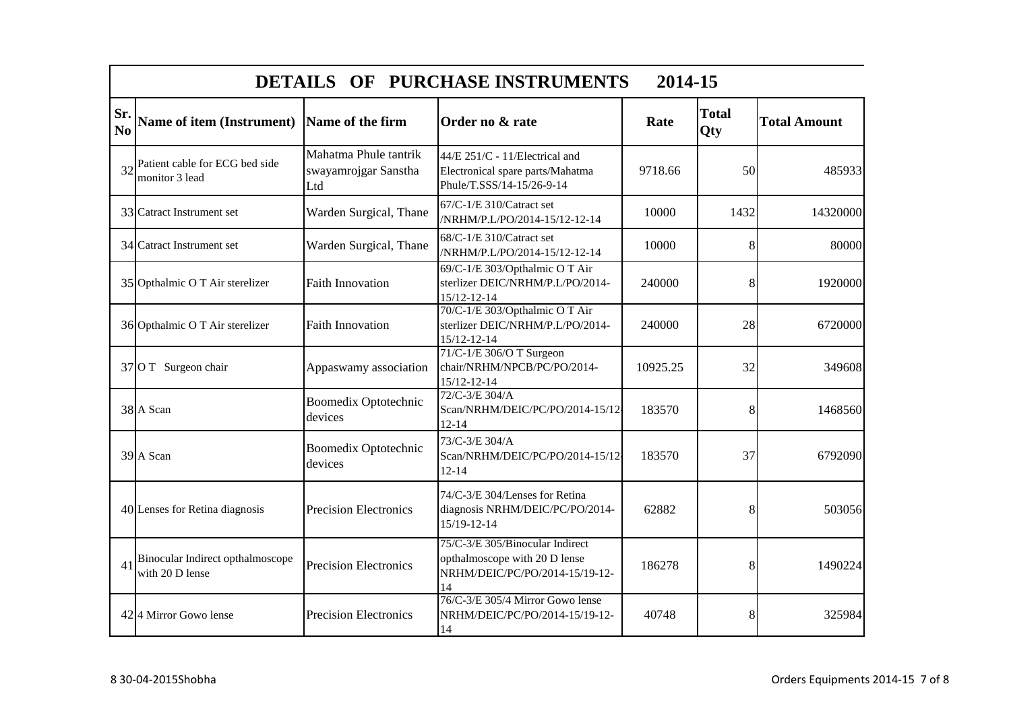|                       | DETAILS OF PURCHASE INSTRUMENTS<br>2014-15          |                                                      |                                                                                                          |          |                     |                     |  |
|-----------------------|-----------------------------------------------------|------------------------------------------------------|----------------------------------------------------------------------------------------------------------|----------|---------------------|---------------------|--|
| Sr.<br>N <sub>0</sub> | Name of item (Instrument) Name of the firm          |                                                      | Order no & rate                                                                                          | Rate     | <b>Total</b><br>Qty | <b>Total Amount</b> |  |
| 32                    | Patient cable for ECG bed side<br>monitor 3 lead    | Mahatma Phule tantrik<br>swayamrojgar Sanstha<br>Ltd | 44/E 251/C - 11/Electrical and<br>Electronical spare parts/Mahatma<br>Phule/T.SSS/14-15/26-9-14          | 9718.66  | 50                  | 485933              |  |
|                       | 33 Catract Instrument set                           | Warden Surgical, Thane                               | 67/C-1/E 310/Catract set<br>/NRHM/P.L/PO/2014-15/12-12-14                                                | 10000    | 1432                | 14320000            |  |
|                       | 34 Catract Instrument set                           | Warden Surgical, Thane                               | 68/C-1/E 310/Catract set<br>/NRHM/P.L/PO/2014-15/12-12-14                                                | 10000    | 8                   | 80000               |  |
|                       | 35 Opthalmic O T Air sterelizer                     | <b>Faith Innovation</b>                              | 69/C-1/E 303/Opthalmic O T Air<br>sterlizer DEIC/NRHM/P.L/PO/2014-<br>$15/12 - 12 - 14$                  | 240000   | 8                   | 1920000             |  |
|                       | 36 Opthalmic O T Air sterelizer                     | <b>Faith Innovation</b>                              | 70/C-1/E 303/Opthalmic O T Air<br>sterlizer DEIC/NRHM/P.L/PO/2014-<br>$15/12 - 12 - 14$                  | 240000   | 28                  | 6720000             |  |
|                       | 37 O T Surgeon chair                                | Appaswamy association                                | 71/C-1/E 306/O T Surgeon<br>chair/NRHM/NPCB/PC/PO/2014-<br>15/12-12-14                                   | 10925.25 | 32                  | 349608              |  |
|                       | 38 A Scan                                           | <b>Boomedix Optotechnic</b><br>devices               | 72/C-3/E 304/A<br>Scan/NRHM/DEIC/PC/PO/2014-15/12-<br>$12 - 14$                                          | 183570   | 8                   | 1468560             |  |
|                       | 39 A Scan                                           | <b>Boomedix Optotechnic</b><br>devices               | 73/C-3/E 304/A<br>Scan/NRHM/DEIC/PC/PO/2014-15/12-<br>$12 - 14$                                          | 183570   | 37                  | 6792090             |  |
|                       | 40 Lenses for Retina diagnosis                      | <b>Precision Electronics</b>                         | 74/C-3/E 304/Lenses for Retina<br>diagnosis NRHM/DEIC/PC/PO/2014-<br>15/19-12-14                         | 62882    | 8                   | 503056              |  |
| 41                    | Binocular Indirect opthalmoscope<br>with 20 D lense | <b>Precision Electronics</b>                         | 75/C-3/E 305/Binocular Indirect<br>opthalmoscope with 20 D lense<br>NRHM/DEIC/PC/PO/2014-15/19-12-<br>14 | 186278   | 8                   | 1490224             |  |
|                       | 424 Mirror Gowo lense                               | <b>Precision Electronics</b>                         | 76/C-3/E 305/4 Mirror Gowo lense<br>NRHM/DEIC/PC/PO/2014-15/19-12-<br>14                                 | 40748    | 8                   | 325984              |  |